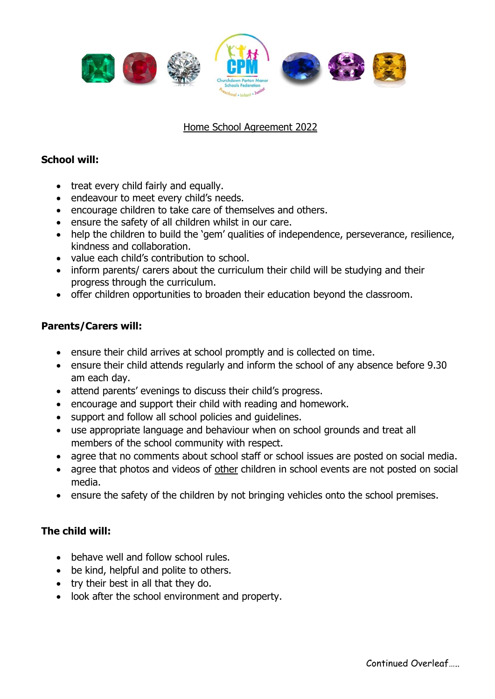

## Home School Agreement 2022

## **School will:**

- treat every child fairly and equally.
- endeavour to meet every child's needs.
- encourage children to take care of themselves and others.
- ensure the safety of all children whilst in our care.
- help the children to build the 'gem' qualities of independence, perseverance, resilience, kindness and collaboration.
- value each child's contribution to school.
- inform parents/ carers about the curriculum their child will be studying and their progress through the curriculum.
- offer children opportunities to broaden their education beyond the classroom.

## **Parents/Carers will:**

- ensure their child arrives at school promptly and is collected on time.
- ensure their child attends regularly and inform the school of any absence before 9.30 am each day.
- attend parents' evenings to discuss their child's progress.
- encourage and support their child with reading and homework.
- support and follow all school policies and guidelines.
- use appropriate language and behaviour when on school grounds and treat all members of the school community with respect.
- agree that no comments about school staff or school issues are posted on social media.
- agree that photos and videos of other children in school events are not posted on social media.
- ensure the safety of the children by not bringing vehicles onto the school premises.

## **The child will:**

- behave well and follow school rules.
- be kind, helpful and polite to others.
- try their best in all that they do.
- look after the school environment and property.